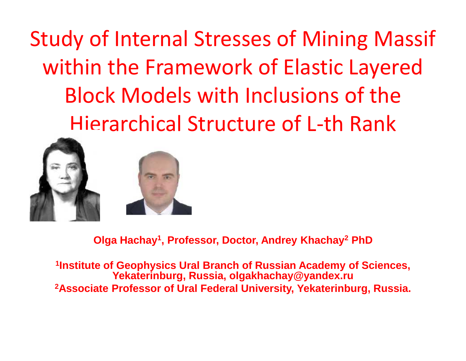Study of Internal Stresses of Mining Massif within the Framework of Elastic Layered Block Models with Inclusions of the Hierarchical Structure of L-th Rank



**Olga Hachay<sup>1</sup> , Professor, Doctor, Andrey Khachay<sup>2</sup> PhD**

**1 Institute of Geophysics Ural Branch of Russian Academy of Sciences, Yekaterinburg, Russia, olgakhachay@yandex.ru 2Associate Professor of Ural Federal University, Yekaterinburg, Russia.**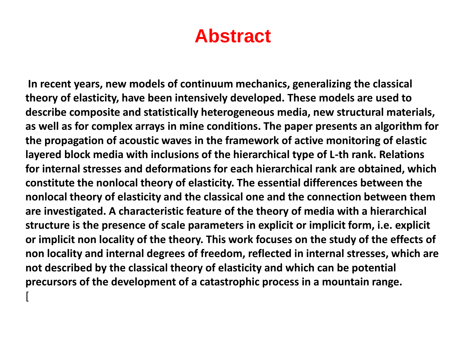### **Abstract**

**In recent years, new models of continuum mechanics, generalizing the classical theory of elasticity, have been intensively developed. These models are used to describe composite and statistically heterogeneous media, new structural materials, as well as for complex arrays in mine conditions. The paper presents an algorithm for the propagation of acoustic waves in the framework of active monitoring of elastic layered block media with inclusions of the hierarchical type of L-th rank. Relations for internal stresses and deformations for each hierarchical rank are obtained, which constitute the nonlocal theory of elasticity. The essential differences between the nonlocal theory of elasticity and the classical one and the connection between them are investigated. A characteristic feature of the theory of media with a hierarchical structure is the presence of scale parameters in explicit or implicit form, i.e. explicit or implicit non locality of the theory. This work focuses on the study of the effects of non locality and internal degrees of freedom, reflected in internal stresses, which are not described by the classical theory of elasticity and which can be potential precursors of the development of a catastrophic process in a mountain range.**

[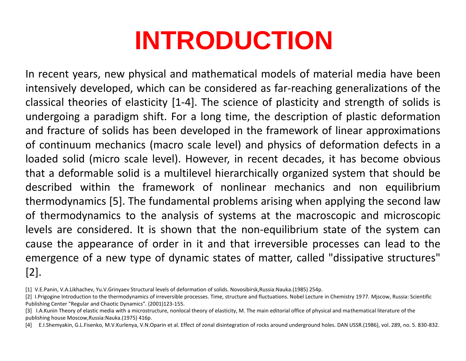In recent years, new physical and mathematical models of material media have been intensively developed, which can be considered as far-reaching generalizations of the classical theories of elasticity [1-4]. The science of plasticity and strength of solids is undergoing a paradigm shift. For a long time, the description of plastic deformation and fracture of solids has been developed in the framework of linear approximations of continuum mechanics (macro scale level) and physics of deformation defects in a loaded solid (micro scale level). However, in recent decades, it has become obvious that a deformable solid is a multilevel hierarchically organized system that should be described within the framework of nonlinear mechanics and non equilibrium thermodynamics [5]. The fundamental problems arising when applying the second law of thermodynamics to the analysis of systems at the macroscopic and microscopic levels are considered. It is shown that the non-equilibrium state of the system can cause the appearance of order in it and that irreversible processes can lead to the emergence of a new type of dynamic states of matter, called "dissipative structures" [2].

<sup>[1]</sup> V.E.Panin, V.A.Likhachev, Yu.V.Grinyaev Structural levels of deformation of solids. Novosibirsk,Russia:Nauka.(1985) 254p.

<sup>[2]</sup> I.Prigogine Introduction to the thermodynamics of irreversible processes. Time, structure and fluctuations. Nobel Lecture in Chemistry 1977. Miscow, Russia: Scientific Publishing Center "Regular and Chaotic Dynamics". (2001)123-155.

<sup>[3]</sup> I.A.Kunin Theory of elastic media with a microstructure, nonlocal theory of elasticity, M. The main editorial office of physical and mathematical literature of the publishing house Moscow,Russia:Nauka.(1975) 416p.

<sup>[4]</sup> E.I.Shemyakin, G.L.Fisenko, M.V.Kurlenya, V.N.Oparin et al. Effect of zonal disintegration of rocks around underground holes. DAN USSR.(1986), vol. 289, no. 5. 830-832.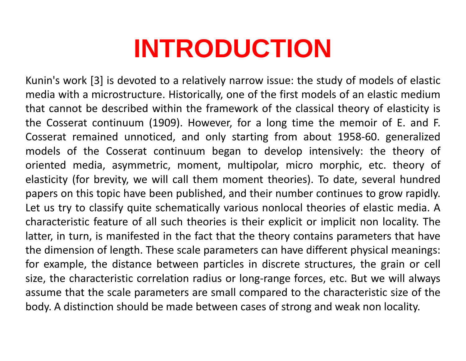Kunin's work [3] is devoted to a relatively narrow issue: the study of models of elastic media with a microstructure. Historically, one of the first models of an elastic medium that cannot be described within the framework of the classical theory of elasticity is the Cosserat continuum (1909). However, for a long time the memoir of E. and F. Cosserat remained unnoticed, and only starting from about 1958-60. generalized models of the Cosserat continuum began to develop intensively: the theory of oriented media, asymmetric, moment, multipolar, micro morphic, etc. theory of elasticity (for brevity, we will call them moment theories). To date, several hundred papers on this topic have been published, and their number continues to grow rapidly. Let us try to classify quite schematically various nonlocal theories of elastic media. A characteristic feature of all such theories is their explicit or implicit non locality. The latter, in turn, is manifested in the fact that the theory contains parameters that have the dimension of length. These scale parameters can have different physical meanings: for example, the distance between particles in discrete structures, the grain or cell size, the characteristic correlation radius or long-range forces, etc. But we will always assume that the scale parameters are small compared to the characteristic size of the body. A distinction should be made between cases of strong and weak non locality.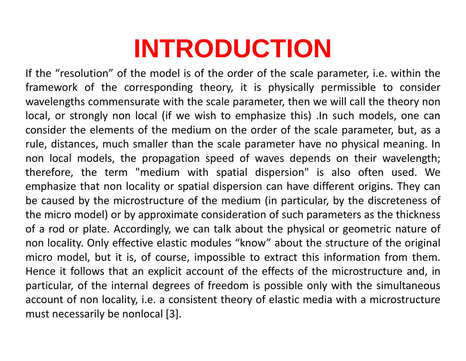If the "resolution" of the model is of the order of the scale parameter, i.e. within the framework of the corresponding theory, it is physically permissible to consider wavelengths commensurate with the scale parameter, then we will call the theory non local, or strongly non local (if we wish to emphasize this) .In such models, one can consider the elements of the medium on the order of the scale parameter, but, as a rule, distances, much smaller than the scale parameter have no physical meaning. In non local models, the propagation speed of waves depends on their wavelength; therefore, the term "medium with spatial dispersion" is also often used. We emphasize that non locality or spatial dispersion can have different origins. They can be caused by the microstructure of the medium (in particular, by the discreteness of the micro model) or by approximate consideration of such parameters as the thickness of a rod or plate. Accordingly, we can talk about the physical or geometric nature of non locality. Only effective elastic modules "know" about the structure of the original micro model, but it is, of course, impossible to extract this information from them. Hence it follows that an explicit account of the effects of the microstructure and, in particular, of the internal degrees of freedom is possible only with the simultaneous account of non locality, i.e. a consistent theory of elastic media with a microstructure must necessarily be nonlocal [3].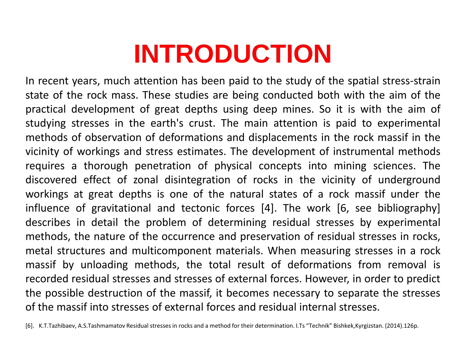In recent years, much attention has been paid to the study of the spatial stress-strain state of the rock mass. These studies are being conducted both with the aim of the practical development of great depths using deep mines. So it is with the aim of studying stresses in the earth's crust. The main attention is paid to experimental methods of observation of deformations and displacements in the rock massif in the vicinity of workings and stress estimates. The development of instrumental methods requires a thorough penetration of physical concepts into mining sciences. The discovered effect of zonal disintegration of rocks in the vicinity of underground workings at great depths is one of the natural states of a rock massif under the influence of gravitational and tectonic forces [4]. The work [6, see bibliography] describes in detail the problem of determining residual stresses by experimental methods, the nature of the occurrence and preservation of residual stresses in rocks, metal structures and multicomponent materials. When measuring stresses in a rock massif by unloading methods, the total result of deformations from removal is recorded residual stresses and stresses of external forces. However, in order to predict the possible destruction of the massif, it becomes necessary to separate the stresses of the massif into stresses of external forces and residual internal stresses.

[6]. K.T.Tazhibaev, A.S.Tashmamatov Residual stressesin rocks and a method fortheir determination. I.Ts "Technik" Bishkek,Kyrgizstan. (2014).126p.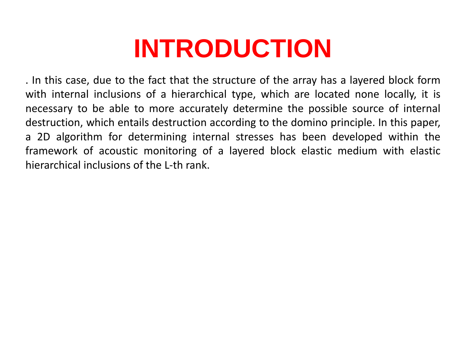. In this case, due to the fact that the structure of the array has a layered block form with internal inclusions of a hierarchical type, which are located none locally, it is necessary to be able to more accurately determine the possible source of internal destruction, which entails destruction according to the domino principle. In this paper, a 2D algorithm for determining internal stresses has been developed within the framework of acoustic monitoring of a layered block elastic medium with elastic hierarchical inclusions of the L-th rank.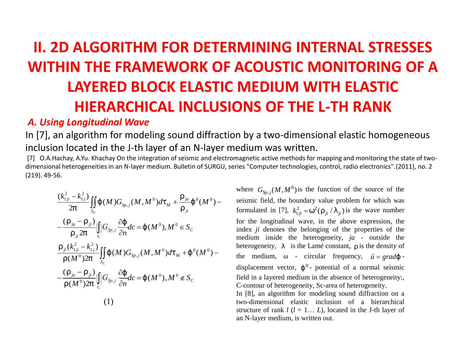### **II. 2D ALGORITHM FOR DETERMINING INTERNAL STRESSES WITHIN THE FRAMEWORK OF ACOUSTIC MONITORING OF A LAYERED BLOCK ELASTIC MEDIUM WITH ELASTIC HIERARCHICAL INCLUSIONS OF THE L-TH RANK D ALGORITHM**<br> **HIN THE FRAME**<br> **LAYERED BLOC**<br> **HIERARCHICA**<br> **g Longitudinal Wave**<br>
in located in the J-th laye<br>
in located in the J-th laye<br>
in located in the J-th laye<br>
in leterogeneities in an N-layer medi<br>
in letero **ALGORITHM FOR DETERMINING**<br> **N THE FRAMEWORK OF ACOUST**<br> **LAYERED BLOCK ELASTIC MEDIUI**<br> **HIERARCHICAL INCLUSIONS OF**<br> *Longitudinal Wave*<br>
algorithm for modeling sound diffraction by a two-d<br>
ocated in the J-th layer of **D ALGORITHM FO<br>
HIN THE FRAMEW<br>
LAYERED BLOCK<br>
HIERARCHICAL**<br> *g Longitudinal Wave*<br>
in algorithm for modeling so<br>
in located in the J-th layer of<br>
they, A.Yu. Khachay On the integration of<br>
heterogeneities in an N-layer **DRITHM FOR DETERMINING INTERNAL STR<br>
E FRAMEWORK OF ACOUSTIC MONITORIN<br>** *MED BLOCK ELASTIC MEDIUM WITH ELASTI***<br>** *Marge of an N-Ispectron* **(***MEDIUM WITH ELASTI***<br>** *Minal Wave***<br>** *More of an N-Ispectron (<i>MAP***) and diffracti E FRAMEWORK OF ACOUSTIC<br>
RED BLOCK ELASTIC MEDIUM<br>
MARCHICAL INCLUSIONS OF TI<br>** *G* **and** *Wave***<br>
In the J-th layer of an N-layer medium was writh<br>
they on the integration of seismic and electromagnetic active method<br>
is in EXECUTE SETTLE SETTLE SETTLE SETTLE SETTLE SETTLE SETTLE SETTLE SETTLE SETTLE SETTLE SETTLE SETTLE SETTLE SETTLE SETTLE SETTLE SETTLE SETTLE SETTLE SETTLE SURVIVE SURVIVED SURVIVED SURVIVED SURVIVED SURVIVED SURVIVED SUR ALGORITHM FOR DETERMINING II**<br> **N THE FRAMEWORK OF ACOUSTIC**<br> **AYERED BLOCK ELASTIC MEDIUM**<br> **HIERARCHICAL INCLUSIONS OF TH**<br> *ongitudinal Wave*<br>
gorithm for modeling sound diffraction by a two-dime<br>
cated in the J-th la **IN THE FRAMEWORK OF ACC<br>
IN THE FRAMEWORK OF ACC<br>
LAYERED BLOCK ELASTIC ME<br>
HIERARCHICAL INCLUSIONS<br>** *Longitudinal Wave***<br>
algorithm for modeling sound diffraction by a<br>
located in the J-th layer of an N-layer medium<br>
ay, DR DETERMINING INTERNAL STRESSES**<br> **VORK OF ACOUSTIC MONITORING OF A**<br> **CELASTIC MEDIUM WITH ELASTIC**<br> **INCLUSIONS OF THE L-TH RANK**<br>
pound diffraction by a two-dimensional elastic homogeneous<br>
of an N-layer medium was w **ID ALGORITHM FOR DETERMINING INTERNAL STRES<br>
HIN THE FRAMEWORK OF ACOUSTIC MONITORING<br>
LAYERED BLOCK ELASTIC MEDIUM WITH ELASTIC<br>
HIERARCHICAL INCLUSIONS OF THE L-TH RANK<br>** *m* **logaritudinal Wave<br>
n located in the J-th la NING INTERNAL STRESSES<br>
DUSTIC MONITORING OF A<br>
EDIUM WITH ELASTIC<br>
S OF THE L-TH RANK<br>
a two-dimensional elastic homogeneous<br>
m was written.<br>
cative methods for mapping and monitoring the state of two-<br>
mputer technologi INTERNAL STRESSES**<br> **C MONITORING OF A**<br> **MITH ELASTIC**<br> **CHE L-TH RANK**<br>
mensional elastic homogeneous<br>
ritten.<br>
mods for mapping and monitoring the state of two-<br>
mologies, control, radio electronics".(2011), no. 2<br>  $\$

#### *A. Using Longitudinal Wave*

In [7], an algorithm for modeling sound diffraction by a two-dimensional elastic homogeneous inclusion located in the J-th layer of an N-layer medium was written.

[7] O.A.Hachay, A.Yu. Khachay On the integration of seismic and electromagnetic active methods for mapping and monitoring the state of twodimensional heterogeneities in an N-layer medium. Bulletin of SURGU, series "Computer technologies, control, radio electronics".(2011), no. 2 (219). 49-56.

**HIN THE FRAMEWORK OF ACOUSTIC MONITORING  
\nLAYERED BLOCK ELASTIC MEDIUM WITH ELASTIC  
\nHIERARCHICAL INCLUSIONS OF THE L-TH RANK  
\n*ng longitudinal Wave*  
\nin located in the J-th layer medium was written.  
\n
$$
\frac{(\lambda_{i,p}^2 - k_{i,l}^2)}{2f} \iint_{\delta}^{\delta} (M)G_{s,p,j}(M,M^0)d\theta_{j,l} + \frac{m_{\text{max}}}{f}(\theta_{j,l})
$$
\n
$$
= \frac{(m_{\text{max}} - m_{\text{max}})}{m_{\text{max}} \sin \theta_{j,l}} \iint_{\delta}^{\delta} (M)G_{s,p,j}(M,M^0)d\theta_{j,l} + \frac{m_{\text{max}}}{f}(\theta_{j,l})
$$
\n
$$
= \frac{(M_{\text{max}} - m_{\text{max}})}{m_{\text{max}} \sin \theta_{j,l}} \iint_{\delta}^{\delta} (M)G_{s,p,j}(M,M^0)d\theta_{j,l} + \frac{m_{\text{max}}}{m_{\text{max}}}(\theta_{j,l})
$$
\n
$$
= \frac{(M_{\text{max}} - m_{\text{max}})}{m_{\text{max}}} \iint_{\delta}^{\delta} d\theta_{j,l} = \frac{1}{2} (M^0)M^0 d\theta_{j,l} + \frac{1}{2} (M^0) - \frac{1}{2} (M^0) + \frac{1}{2} (M^0) + \frac{1}{2} (M^0) + \frac{1}{2} (M^0) + \frac{1}{2} (M^0) + \frac{1}{2} (M^0) + \frac{1}{2} (M^0) + \frac{1}{2} (M^0) + \frac{1}{2} (M^0) + \frac{1}{2} (M^0) + \frac{1}{2} (M^0) + \frac{1}{2} (M^0) + \frac{1}{2} (M^0) + \frac{1}{2} (M^0) + \frac{1}{2} (M^0) + \frac{1}{2} (M^0) + \frac{1}{2} (M^0) + \frac{1}{2} (M^0) + \frac{1}{2} (M^0) + \frac{1}{2} (M^0) + \frac{1}{2} (M^0) + \frac{1}{2} (M^0) + \frac{1}{2} (M^0) + \frac{1}{2} (M^0)
$$**

**IO BLOCK ELASTIC MEDIUM WITH ELASTI**<br> **RCHICAL INCLUSIONS OF THE L-TH RANK**<br> **RCHICAL INCLUSIONS OF THE L-TH RANK**<br>
or modeling sound diffraction by a two-dimensional elastic hom<br>
he J-th layer of an N-layer medium was w  $\{(M^0), M^0 \in S_c\}$  index *ji* denotes the belonging of the properties of the  $\{(M^0), M^0 \notin S_C\}$  field in a layered medium in the absence of heterogeneity: **ELASTIC MEDIUM WITH ELASTIC**<br> **NCLUSIONS OF THE L-TH RANK**<br>
and diffraction by a two-dimensional elastic homogeneous<br>
sismic and electromagnetic active methods for mapping and monitoring the state of two-<br>
letin of SURGU where  $G_{S_n}$  (*M*, *M*<sup>0</sup>) is the function of the source of the seismic field, the boundary value problem for which was **DNS OF THE L-TH RANK**<br>
In by a two-dimensional elastic home<br>
edium was written.<br>
Integrative methods for mapping and monitoring ties<br>
"Computer technologies, control, radio electronics<br>
where  $G_{Sp,j}(M,M^0)$  is the function formulated in [7],  $k_{1ii}^2 = \mathbb{S}^2(\dots_{ii}/\})_{ii}$  is the wave number for the longitudinal wave, in the above expression, the medium inside the heterogeneity, *ja* - outside the heterogeneity,  $\}$  is the Lamé constant,  $\ldots$  is the density of **NIEDIUM WITH ELASTIC**<br> **DNS OF THE L-TH RANK**<br>
In by a two-dimensional elastic homogeneous<br>
edium was written.<br>
inagenetic active methods for mapping and monitoring the state of two-<br>
ies "computer technologies, control,  $\vec{u} = grad\{-\}$ displacement vector,  $\int_0^0$ - potential of a normal seismic -contour of heterogeneity, Sc-area of heterogeneity.

In [8], an algorithm for modeling sound diffraction on a two-dimensional elastic inclusion of a hierarchical structure of rank  $l$  ( $l = 1... L$ ), located in the J-th layer of an N-layer medium, is written out.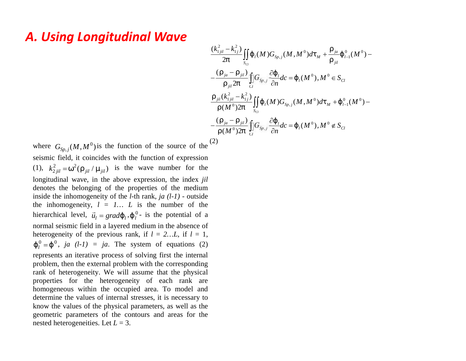### *A. Using Longitudinal Wave*

$$
\frac{(k_{1jil}^2 - k_{1j}^2)}{2f} \iint_{S_{Cl}} \{_{l}(M)G_{Sp,j}(M,M^0)dt_M + \frac{m_{jil}}{m_{jil}} \{_{l-1}^0(M^0) - \frac{(m_{jil} - m_{jil})}{m_{jil}} \prod_{i \le j}^n G_{Sp,j} \frac{\partial \{_{l}}{\partial n} d}{\partial n} c = \{_{l}(M^0), M^0 \in S_{Cl}
$$
\n
$$
\frac{(m_{jil}(k_{1jil}^2 - k_{1j}^2)}{(M^0)2f} \iint_{S_{Cl}} \{_{l}(M)G_{Sp,j}(M,M^0)dt_M + \{_{l-1}^0(M^0) - \frac{(m_{jil} - m_{jil})}{m_{jil}} \prod_{i \le j}^n G_{Sp,j} \frac{\partial \{_{l}}{\partial n} d}{\partial n} c = \{_{l}(M^0), M^0 \notin S_{Cl}
$$
\n
$$
(2)
$$

where  $G_{Sp,j}(M,M^0)$  is the function of the source of the <sup>(2)</sup> **ing Longitudinal Wave**<br>  $\frac{(k_{1,n}^2 - k_1^2)}{2f} \iint_{S_G} \{(u/\theta)^2 + \frac{(u_n - u_n)^2}{m} \int_{\alpha}^{\alpha} G_{\theta_{n,j}} \}$ <br>  $-\frac{(u_n - u_n)^2}{m} \int_{\alpha}^{\alpha} G_{\theta_{n,j}} \left( \frac{u_n}{\theta} - \frac{(u_n - u_n)^2}{m} \int_{S_G}^{\alpha} G_{\theta_{n,j}} \right)$ <br>  $G_{S_{p,j}}(M, M^0)$  is the function of the s seismic field, it coincides with the function of expression where  $G_{Sp,j}(M, M^0)$  is the function of<br>seismic field, it coincides with the function<br>(1),  $k_{2jil}^2 = \mathcal{S}^2(\dots_{jil}/\sim_{jil})$  is the way<br>longitudinal wave, in the above expredencies the belonging of the propert<br>inside the inh (1),  $k_{2\hat{i}il}^2 = \mathbb{S}^2(\mathbf{u}_{\hat{i}il} / \mathbf{v}_{\hat{i}il})$  is the wave number for the **Sing Longitudinal Wave**<br>  $\frac{(k_{1ji}^2)^2}{2}$ <br>  $-\frac{(\ldots_{ji})(k_{1ji})}{2}$ <br>  $\frac{(\ldots_{ji})(M,M^0)}{2}$ <br>
is the function of the source of the  $\frac{(2)}{2}$ <br>
ic field, it coincides with the function of expression<br>  $k_{2ji}^2 = S^2(\ldots_{ji1}/\sim_{ji1})$  is longitudinal wave, in the above expression, the index *jil* denotes the belonging of the properties of the medium inside the inhomogeneity of the *l*-th rank, *ja (l-1)* - outside the inhomogeneity,  $l = l... L$  is the number of the  $\frac{(k_{1\mu}^2 - k_{1j}^2)}{2f} \iint_{S_{\mu}} \left\{ \frac{d\frac{m}{2} - m_{\mu}}{2f} \right\} \iint_{S_{\mu}} \left\{ \frac{m_{\mu} (k_{1\mu}^2 - k_{1j}^2)}{m_{\mu} (M^0) 2f} \right\} \frac{1}{s}$ <br>  $\frac{m_{\mu} (k_{1\mu}^2 - k_{1j}^2)}{m_{\mu} (M^0) 2f} \int_{S_{\mu}} \frac{m_{\mu} (k_{1\mu}^2 - k_{1j}^2)}{m_{\mu} (M^0) 2f$  $\vec{u}_l = grad\{\,l\}$ ,  $\{\,l\}$ <sup>0</sup> is the potential of a normal seismic field in a layered medium in the absence of heterogeneity of the previous rank, if  $l = 2...L$ , if  $l = 1$ , where  $G_{Sp,j}(M, M^0)$  is the function of the source of the  $\frac{(m-1)!}{m}$ <br>
seismic field, it coincides with the function of expression<br>
(1),  $k_{2jil}^2 = \mathbb{S}^2(\frac{m}{m} / \frac{m}{jl})$  is the wave number for the<br>
longitudinal wave, in represents an iterative process of solving first the internal problem, then the external problem with the corresponding rank of heterogeneity. We will assume that the physical properties for the heterogeneity of each rank are homogeneous within the occupied area. To model and determine the values of internal stresses, it is necessary to know the values of the physical parameters, as well as the geometric parameters of the contours and areas for the nested heterogeneities. Let *L* = 3.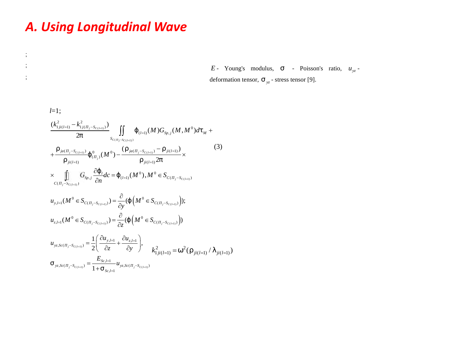### *A. Using Longitudinal Wave*

; ;

;

*E* - Young's modulus,  $\uparrow$  - Poisson's ratio,  $u_{vz}$  deformation tensor,  $\uparrow_{yz}$  - stress tensor [9].

*l*=1;<br>  $\frac{(k_{1ji(l=1)}^2 - k_{1j(-j-S_{C(l=1)})}^2)}{2f}$   $\iint_{S_{C(-j-S_{C(l=1)})}}$ ( ) ( 1) ( 1) ( 1)  $M^0)d\ddagger_M +$ <br>(3)<br> $(\ddot{a})$ <br> $(1)(1)(1)$ <br> $(1)(1)(1)$  $-k_{1j(-j-S_{C(l=1)})}^2$ <br>  $2f$ <br>  $\frac{-S_{C(l=1)})}{2f} \{ {0 \choose (-j)} (M_{(l=1)})}$ <br>  $G_{Sp,j} \frac{\partial {f_j}}{\partial n} d$ <br>  $G_{(l=1)})$ <br>  $G_{SC(-j-S_{C(l=1)})}$ ing Longitudina<br>  $\sum_{j: j: (l=1)}^2 - k_{1j(-j-S_{C(l=1)})}^2 \iint_{S_{C(-j-S_{C(l=1)})}} \{ (l=1) \atop \cdots (al_{C-j-S_{C(l-1)})}$ 11 **g Longitudinal wave**<br>  $E$ - Young's medeformation tensor<br>  $\frac{1}{2f}$ <br>  $\frac{1}{2f}$ <br>  $\frac{1}{2f}$ <br>  $\frac{1}{2f}$ <br>  $\frac{1}{2f}$ <br>  $\frac{1}{s_{c_{(l-1)}S_{(l-1)}}}$ <br>  $\frac{1}{s_{c_{(l-1)}S_{(l-1)}}}$ <br>  $\frac{1}{s_{(l-1)}(M)G_{Sp,j}(M,M^0)d\mathbf{1}_M +$ <br>  $\frac{1}{2f}$ <br> (*l*=1)  $(M)G_{Sp,j}(M,M^0)d!$ <br>  $\frac{-S_{C(l=1)})}{\cdots} \frac{1}{ji(l=1)}\times$ E-<br>
defc<br>  $\frac{E}{2f}$ <br>  $\frac{1}{2f}$ <br>  $\int_{S_{C(-j-S_{C(l=1)})}}^{S_{C(l=1)})} \iint_{S_{C(-j-S_{C(l=1)})}} \{ (1-u)(M)G_{Sp,j}(M,M^0)d\mathbf{1}_M +$ <br>  $\frac{(1-u)(1-u)}{(1-u)(1-u)} \{ (1-u)(M^0) - \frac{(1-u)(1-u)(1-u)}{(1-u)(1-u)(1-u)} \} \times$ <br>  $\iint_{S_{P,j}} \frac{\partial \{ (1-u)(M^0), M^0 \in S_{C(-j-S_{C(l=1)})} \}}{\partial n}$  $\frac{(S_{C(l=1)})^{\sum_{i=1}^{n} S_{C(i-1)}^{\sum_{j=1}^{n} S_{C(l=1)})}} \int_{S_{C(i)}} \int_{S_{C(i)}} \frac{1}{(s-a)^{n}} s^{n-s} ds$ <br>  $\frac{\partial \{C_{i}}{C_{i}} dC = \{C_{C(i-1)}(M^{0})\}}{\partial n}$  $\begin{split} & \frac{-k_{1j(-j-S_{C(l=1)})}^2)}{2f} \int\limits_{S_{C(-j-S_{C(l=1)})}} \bigcup\limits_{S_{C(-j-S_{C(l=1)})}} \{ & \text{if} \ (l=1)} (M) G_{Sp,j}(M,M^0) e^{-\frac{S_{C(l=1)})}{2\left(\sum\limits_{(l=1)} s_{j}(M^0)-\frac{\left(\cdots j_{d(-j-S_{C(l=1)})}-\cdots j_{i(l=1)}\right)}{\cdots j_{i(l=1)})^2f} \times \ & \text{if} \ G_{Sp,j} \frac{\partial \{ \text{if} \ dC = \{ \text{if} \ (M^0), M^$ 0 0 deformati<br>  $\begin{align*} \frac{1}{\sqrt{2}} \exp\left(\int\limits_{S_{C\left(\frac{1}{2}\right)} \setminus \{0\}} \int\limits_{S_{C\left(\frac{1}{2}\right)} \subset \{0\}} \int\limits_{S_{C\left(\frac{1}{2}\right)} \subset \{0\}} \left(\int\limits_{S_{C\left(\frac{1}{2}\right)} \subset \{0\}} \int\limits_{S_{C\left(\frac{1}{2}\right)} \subset \{0\}} \int\limits_{S_{C\left(\frac{1}{2}\right)} \subset \{0\}} \left(\int\limits_{S_{C\left(\frac{1}{2}\right)} \subset \{0\}} \int$ 1;<br>  $\frac{1}{\frac{1}{j i(l=1)} - k_{1j(-j-S_{C(l=1)})}^2}$ <br>  $\frac{2f}{2f}$ <br>  $\frac{1}{s_{C(-j)}}$ <br>  $\frac{1}{\cdots j i(l=1)}$ <br>  $\frac{1}{\cdots j (l=1)}$ <br>  $\frac{1}{\cdots} G_{Sp,j} \frac{\partial \{1}{\partial n} d\mathbf{c} = \{1}{\cdots} \frac{1}{\cdots} d\mathbf{c}$ <br>  $\frac{1}{\cdots} (M^0 \in S_{C(-j-S_{C(l=1)})}) = \frac{\partial}{\partial \mathbf{c}}$ sing Longitudinal Wave<br>  $\begin{array}{lll} \displaystyle \sin g \text{ Longitudinal } W$ <br>  $\displaystyle \frac{(k_{1ji(l=1)}^2-k_{1j(-j-S_{C(i=1)})}^2)}{2f} \int\limits_{S_{C(-j-S_{C(i=1)})}}^{S} \{_{(l=1)}^c (M)G_{S_p,j}(M) \} \ +\frac{m_{jil(-1)}}{m_{jil(1=1)}} \{_{(l=1)}^0(M^0) - \frac{(m_{jil(-j-S_{C(i=1)})}-m_{jil(1=1)})}{m_{jil(1=1)}} 2f \} \times &\text{in} & G &$ Longitudinal Wave<br>  $E$ - Young's modulu<br>
deformation tensor,  $\uparrow_{y}:$ <br>  $\frac{k_{1/(-(5^{x}(x)-5^{c}(x)))}^{2}}{2f}$ <br>  $\iint_{S_{c_{1}}^{-(x)}(M)G_{y}}^{(x)}(M,M^{0})d\uparrow_{M} +$ <br>  $\frac{(x_{(k)})^{2}}{2f}$ <br>  $\left(\begin{array}{c} 0 \\ 0 \end{array}\right)^{(N-1)}$ <br>  $\frac{(x_{j})(M^{0}) - \frac{(x_{j})((-y_{j} - x$ **dinal Wave**<br> *E*- Young's n<br>
deformation tensor<br>  $\int_{S_{C(l=1)}}^{C_{C(l=1)}} \{ (M)G_{S_{p,j}}(M,M^0)d\mathbf{t}_M +$ <br>  $\frac{(...)_{ja(-j-S_{C(l=1)})}-..._{ji(l=1)})}{...,_{ji(l=1)}2f} \times$ <br>  $I_{l=1}M^0), M^0 \in S_{C(-j-S_{C(l=1)})}$ gitudinal Wave<br>  $E$ - Young's moduludeformation tensor, 1<br>  $\lim_{s \to 0^+} \frac{1}{2} \iint_{S_{c(f,f^{-S_{c(i-1)}})}} \left( \frac{1}{(d-1)} (M) G_{S_{p,j}} (M, M^0) d\mathbf{1}_M + \frac{1}{(M^0)} - \frac{(\cdots_{j(i-1)} S_{c(i-1)})^{-(j(i-1))} - \cdots_{j(i-1)})^2}{\cdots_{j(i-1)} 2f} \times \frac{1}{d} d c = \left\{ \frac{1}{(d$ ind **Mave**<br>  $\{ (l=1) (M) G_{Sp,j} (M, M^0) d!$ <br>
(iii)<br>  $\frac{ja((-j-S_{C(l=1)})^{-m} j i(l=1))}{m} \times$ <br>  $(M^0), M^0 \in S_{C(-j-S_{C(l=1)})}$ <br>  $(M^0 \in S_{C(-j-S_{C(l=1)})})$ );<br>  $(M^0 \in S_{C(-j-S_{C(l=1)})})$  $\int_{S_{c(i-1)}}^{S_{c(i-1)}} \sum_{S_{c(i-1)}} \iint_{S_{c(i-1)}} \{G_{(l-1)}(M)G_{Sp,j}(M) \}$  $\frac{(-k_{1j(-j-S_{C(l=1)})}^2)}{2f} \iint_{S_{C(-j-S_{C(l=1)})}} {\{ (l_{(l=1)}(M)G_{Sp,j}(N_{f(l=1)}) \}^2}} \mathcal{E}_{(l_{(l=1)})}^{\{ (l_{(l=1)}) \} } \mathcal{E}_{(l_{(l=1)})}^{\{ (l_{(l=1)}) \} } = \frac{(-1)^{j_{(l=1)}} \sum_{j=1}^{j_{(l=1)}} \mathcal{E}_{(l_{(l=1)})}^{\{ (l_{(l=1)}) \}}}{(-1)^{j_{(l=1)}} \mathcal{E}_{(l_{(l=1)})}^{\{ ($  $\frac{d}{dt} \left( M^0 \right) - \frac{M \left( \frac{1}{f} - 3C(l=1) \right)}{2f} \times$ *M*,  $M^0$ ) $d\ddagger_M$  +<br>
<u>li</u>)<br>  $\times$ <br>  $\left(\frac{-S_{C(l=1)}}{T}\right)$ <br>  $\left(\frac{-S_{C(l=1)}}{T}\right)$ *j*<sub>1-1</sub>) -  $k_{1j(-j-S_{c(i-1)})}^2$ <br> *zf*<br> *g*(*i*<sub>-*j*-*S<sub>C(l-1)</sub>)* { 0<br> *j*<sub>(*i*</sup>, *j*)<br> *j*<sub>*j*-*S<sub>C(l-1)</sub>*)<br> *G<sub>Sp, j</sub>*  $\frac{\partial}{\partial s}$ <br> *C*<sub>Sp, j</sub>  $\frac{\partial}{\partial s}$ <br>
(*M*<sup>0</sup>  $\in S_{c(-j-S(i-1))}$ </sub></sub></sub>  $j_{ji(l=1)} - k_{1j(-j-S_{C(l=1)})}^2$ <br> *ji*(*l*=1)  $-k_{1j(-j-S_{C(l=1)})}^2$ <br> *zf*  $s_{C(-j-S_{C(l=1)})}$ <br> *s<sub>c(-j-Sc(l=1)</sub>*<br>  $\frac{(j_{j}a(-j-S_{C(l=1)})}{2})$ *E* - Young's modulus, † - Poiss<br>deformation tensor, † <sub>yz</sub> - stress tensor [9<br> $I_{(l=1)}(M)G_{Sp,j}(M,M^0)d\mathbf{1}_M +$ <br> $I_{(l=1)}(M)G_{Sp,j}(M,M^0)d\mathbf{1}_M +$ <br> $I_{(l=1)}(M)G_{Sp,j}(M,M^0)d\mathbf{1}_M +$ <br> $I_{(l=1)}(M)G_{Sp,j}(M,M^0)d\mathbf{1}_M +$ <br> $I_{(l=1)}(M)G_{Sp,j}(M,M$  $S_{C(-i=SC(l-1))}$  $\begin{split} &\frac{f^{i(l=1)}-k_{1j(-j-S_{C(l=1)})}^2)}{2f}\int\limits_{S_{C(-j-S_{C(l=1)})}}\left\{\int\limits_{(l=1)}\int\limits_{(l=1)}(M)G_{S_{P},j}(M,M^0) d\mathbf{1}_{M}\right\} \ &\frac{f^{i\alpha(-j-S_{C(l=1)})}G_{S_{P},j}(M^0)-\frac{(f^{i\alpha}(j)-f^{i\alpha}(l=1))}{j\alpha(j-1)}\int\limits_{(l=1)}\int\limits_{(l=1)}d\mathbf{1}_{(l=1)}(M^0), M^0\in S_{C(-j-S_{C(l=1$  $\int_{(j-i)j}^{(j)} \frac{-k_{1j(-j)}^2 S_{C(l-i))} (j)}{2f} \int_{S_{C(-j)}S_{C(l-i))}} \{ (j-1) (M) G_{Sp,j}(M, j) \}$ <br>  $\int_{j-i-1}^{(j-i)j} {j \choose (j)} (M^0) - \frac{(\cdots j a_{(-j)} - S_{C(l-i)}) - \cdots j i (l-i))}{\cdots j i (l-i)} 2f}$  $l$ de  $I$  (M deformation tensor<br> *S<sub>C( j</sub>-S<sub>C(l+1)</sub>*)<br> *S<sub>C( j-SC(l+1)*</sub>)<br> *S<sub>C( j-SC(l+1)</sub>*)<br> *S<sub>C( j-SC(l+1)</sub>*)<br> *C<sub>( j-S<sub>C(l+1</sub>)*)<br> *C<sub>( j-S<sub>C(4+1)</sub>)*) =  $\frac{\partial}{\partial y}$ ({ (*M*<sup>0</sup>  $\in S$ <sub>*C*( *j-S<sub>C(+1</sub>)*</sub>));<br> *C<sub>( j-S<sub>C(4+1)</sub>)*) =  $\frac{\$ =1;<br> *k*<sub>1*ji(1=1)* - *k*<sub>1*j*(-*j*-*S<sub>C(1=1)</sub>)*<br> *C C (-j*-*S<sub>C(1=1)</sub>)*<br> *C C j*-*S<sub>C(1=1)</sub></sub>)*<br> *C C f*<sub>*SP, j*</sub>  $\frac{\partial \{C_{i,j} - C_{i-1,j}\}}{\partial C_{i,j}}$ <br> *C C f*<sub>*-S<sub>C(1=1)</sub></sub>)*<br> *C C f*<sub>*C*</sub> *f*<sub>*C*<sub>*C*</sub> *f*<sub></sub></sub></sub></sub></sub> *sing Longitudinal Wav*<br>
<sup>2</sup>*k*<sub>*i*<sub>*i*</sub>(*x*<sub>1</sub> - *s*<sub>*c*(*x*<sub>1</sub>)</sub>)</sup><br>
<sup>2</sup>*f* s<sub>*c*(*x*<sub>1</sub>-s<sub>*c*(*x*<sub>1</sub>)</sub></sub>)<br>
<sup>*m*<sub>*ji*(*x*<sub>1</sub>)</sub></sub> (<sup>0</sup><sub>*c*<sub>*y*</sub>)</sub>(*M*<sup>0</sup>) – <sup>(</sup>*m*<sub>*i*/*x*<sub>1</sub>/<sub>*s*</sub><sub>*n*/*z*<sub>1</sub>)</sub> – <sup>*m*</sup><sub>*ji*(*x*<sub>1</sub>)</sub> – <sup>*m*</sup></sub></sup></sub> *E* - Young's modulus, † - Poi:<br>
deformation tensor, † <sub>yz</sub> - stress tensor [<br> *M*) $G_{Sp,j}(M, M^0)dt_M +$ <br>
<sub>n)</sub> – ...  $\pi_{j(l=1)}^2$  (3)<br>  $\pi_l^0 \in S_{C(-j-S_{C(l=1)})}$ **Longitudinal Wave**<br> *E*- Young's modulus,<br>
deformation tensor,  $\dagger_{x^{-2}}$ <br>  $\iint_{K} \{G_{(x)}(M)G_{\mathcal{S}_{P,j}}(M,M^0)dt_M +$ <br>  $f$ <br>  $G_{(x)}(M^0) - \frac{(m_{M}(-\mathcal{S}_{C(n+1)}) - m_{M}(-1))}{m_{M}(-1)^2} \times$ <br>  $G_{\mathcal{S}_{P,j}} \frac{\partial \xi_1}{\partial n} d c = \{G_{(x)}(M^0), M^0 \in S_{$ *n*  $c_{(l=1)}$ ,  $c_{(l=1)}$ ,  $c_{(l=1)}$ ,  $c_{(l=1)}$ **Longitudinal Wave**<br> *E*- Young's modulus, † .<br>
deformation tensor, † <sub>*x*-</sub> stress ten<br> *f*<br> *s*<sub>c<sub>(*x*-*x*c(*xx*<sub>(*x*</sub>)</sub>)</sub><br> *S*<sub>(*x*<sub>*x*-*x*)</sub>(*x*) (*x*) (*x*) (*x*) (*x*) (*x*) (*x*) (*x*)<br> *x*)<br> *m*<sub>*y*(*x*) = (*x*)<br>
</sub></sub> *ing Longitudinal Wave*<br> *E*- Young's modulus, †<br> *E*- Young's modulus, †<br> *E*- Young's modulus, †<br> *E*- Young's modulus, †<br> *E*- Young's modulus, †<br> *E*- Young's modulus, †<br> *E*- Young's modulus, †<br> *E*- Young's modulus, **1g Longitudinal Wave**<br> *E*- Young's modulus, 1<br>
deformation tensor,  $\dagger_{yz}$  - stre<br>  $\frac{2f}{2f} = \int_{S_{C(-j-1)/2}}^{L(1)} \{ \int_{S_{C(-j-1)/2}}^{L(1)} (M)G_{S_{S'/2}}(M,M^0)d\mathbf{f}_M +$ <br>  $\frac{(f-f-S_{C(L+1)})}{2} \int_{C(-j)}^{C} (M^0) - \frac{(m_{j0}(-f-S_{C(L+1)}) - m_{j1}(-f))}{$  $\frac{C_{l}}{R_{l}}dc = C_{(l=1)}(M^{0}), M^{0} \in S_{C_{l-1}-S_{C(l=1)}}$  $(1)$  $-S_{C(l=1)}$ ) deformation t<br>  $\frac{1}{2} \int_{S_{C(I=1)})}^{2} \iint_{S_{C(I=1)})} \{ (l_{(l=1)}(M)G_{Sp,j}(M,M^0)d\tau_M + (l_{(l=1)}(M^0)G_{Sp,j}(M,M^0)d\tau_M + (l_{(l=1)}(M^0)G_{Sp,j}(M^0)G_{Sp,j}(M^0)) \} \times (3)$  **g Longitudinal Wave**<br>
E-<br>
defo<br>  $\frac{E}{2f}$ <br>  $\frac{E}{2f}$ <br>  $\int_{S_{C(-j)}S_{C(i-1)})}^{S} \iint_{S_{C(-j)}S_{C(i-1)}} \{ (J_{C(i-1)}(M)G_{Sp,j}(M,M^0)d\mathbf{1}_M +$  $\iint \{_{(l=1)}(M)G_{_{Sp,j}}(M,M^0)d\ddagger_M +$ *E* - Young's modulus, † - P<br>deformation tensor, † <sub>yz</sub> - stress tensor<br> $-\frac{k_{1(i-j)}^2}{2f}$ <br> $\frac{1}{2f}$ <br> $\int_{S_{C(-j-k_{C(i-1)})}}^{S_{C(i-1)})} \iint_{S_{C(-j-k_{C(i-1)})}} \left( \frac{1}{(i-1)} (M) G_{Sp,j}(M, M^0) d\mathbf{t}_M +$ <br> $\frac{-S_{C(i-1)}}{2f} \left( \frac{0}{(i-j)} (M^0) - \frac{(-\frac{$ *E* - Young's modulus,<br>
deformation tensor,  $\uparrow_{y_z}$  - studies of<br>  $\frac{k_{1/(-(j-S_{C(\text{old})})}^2)}{2f}$ <br>  $\iint_{S_{C(-j-S_{C(\text{old})})}} {\{ (j - (M)G_{S_{P,j}}(M, M^0) d{\dagger}_M + g_{C(-j-S_{C(\text{old})})} - \frac{(m - j)G_{S_{P,j}}(M, M^0) d{\dagger}_M + g_{C(-j)} - g_{C(-j)}}{m - j} d{\bf f}_{N}}$ <br>  $\frac$ deformation tensor,  $\dagger_{yz}$  - stress tensor<br>  $\left\{\n\begin{array}{l}\n\binom{d}{(l-1)}(M)G_{Sp,j}(M,M^0)d\dagger_M +\n\end{array}\n\right.$ <br>  $\cdots_{ja\left(\n\begin{array}{l}\n\cdots &\n\cdots &\n\cdots &\n\cdots &\n\cdots &\n\cdots &\n\cdots &\n\cdots &\n\cdots &\n\cdots &\n\cdots &\n\cdots &\n\cdots &\n\cdots &\n\cdots &\n\cdots &\n\cdots &$  $\pm$  and  $\pm$  and  $\pm$  and  $\pm$  and  $\pm$  and  $\pm$  $(-\dots \frac{1}{ii(l=1)})$  (3) **sing Longitudinal Wave**<br>  $E$ - Young's modulus,  $\uparrow$  - Poisson's ratio,  $u_{\infty}$ -<br>
deformation tensor,  $\uparrow_{\infty}$ - stress tensor [9].<br>  $\frac{(k_{10}^2L_{11} - k_{11}^2 - k_{20L})^3}{2f} \iint_{S_{11} - N_{10L+1}^2} L_{(u=1)}^2 (M) G_{\psi_2} (M, M^0) d$  $\partial \{\mathcal{U}_{1,1}, \mathcal{U}_{2,1}, \mathcal{U}_{3,1}, \mathcal{U}_{3,1}, \mathcal{U}_{3,1}, \mathcal{U}_{3,1}, \mathcal{U}_{3,1}, \mathcal{U}_{3,1}, \mathcal{U}_{3,1}, \mathcal{U}_{3,1}, \mathcal{U}_{3,1}, \mathcal{U}_{3,1}, \mathcal{U}_{3,1}, \mathcal{U}_{3,1}, \mathcal{U}_{3,1}, \mathcal{U}_{3,1}, \mathcal{U}_{3,1}, \mathcal{U}_{3,1}, \mathcal{U}_{3,1}, \mathcal{U}_{3,1}, \mathcal{U}_{3,1}, \mathcal{U}_{3$ **sing Longitudinal Wave**<br> *E*- Young's modulus, 1 - Poisson's ratio.  $u_{xy}$ -<br>
deformation tensor,  $\uparrow_{yz}$ -stress tensor [9].<br>  $\frac{(k_{xy(xy)}^2 - k_{yy}^2 - s_{xyxz}^2)}{2f} \iint_{S_{(x-y)(xy)}} \{u_{xy}(M)G_{yxy}(M,M^3)dt_M +$ <br>  $\frac{u_{xy(x-y)(xy)}}{u_{xy(y)}(M^0)} \frac$  $\iint_{S_{p,j}} G_{S_p,j} \frac{\partial U_l}{\partial n} dC = \left\{ (l=1) (M^0), M^0 \in S_{C(j-1)S_{C(l=1)})} \right\}$ (3)  $\frac{1}{y}(\{ \left( M^{\circ} \in S_{C\left( \right)_{j}=S_{C(l=1)} \right) } \}\)$  $\frac{1}{z}$  ({  $(M^{\circ} \in S_{C(-_{j}-S_{C(l-1)})})$ )  $\begin{align*} (M^0) &-\frac{\left(\cdots_{ja\left(\frac{j}{j}-S_{C(l=1)}\right)}-\cdots_{ji\left(l=1\right)}\right)}{\cdots_{ji\left(l=1\right)}2f} \times \ \frac{d}{n} d c &= \left\{\frac{1}{(l=1)}(M^0), M^0 \in S_{C\left(\frac{j}{j}-S_{C(l=1)}\right)}\right\},\\ (M^0) &=\frac{\partial}{\partial y}(\left\{\left(M^0 \in S_{C\left(\frac{j}{j}-S_{C(l=1)}\right)}\right)\right);\\ (M^0) &\in S_{C\left(\frac{j}{j}-S_{C(l=1)}\right)} \end{align*}$ 1;<br>  $1;$ <br>  $\frac{1}{2f}$ <br>  $\frac{1}{2f}$ <br>  $\frac{1}{2f}$ <br>  $\frac{1}{2f}$ <br>  $\frac{1}{2f}$ <br>  $\frac{1}{2f}$ <br>  $\frac{1}{2f}$ <br>  $\frac{1}{2f}$ <br>  $\frac{1}{2f}$ <br>  $\frac{1}{2f}$ <br>  $\frac{1}{2f}$ <br>  $\frac{1}{2f}$ <br>  $\frac{1}{2f}$ <br>  $\frac{1}{2f}$ <br>  $\frac{1}{2f}$ <br>  $\frac{1}{2f}$ <br>  $\frac{1}{2f}$ <br>  $\frac{1}{2$  $\int_{S_{c_{(j-3)}(M)}(M)}^{2} \int_{S_{c_{(j-3)}(M)}}^{2} \int_{S_{c_{(j-3)}(M)}}^{2} \int_{S_{c_{(j-3)}(M)}}^{2} \int_{S_{c_{(j-3)}(M)}}^{2} \int_{S_{c_{(j-3)}(M)}}^{2} \int_{S_{c_{(j-3)}(M)}}^{2} \int_{S_{c_{(j)}}(M)}^{2} \int_{S_{c_{(j)}}(M)}^{2} \int_{S_{c_{(j)}}(M)}^{2} \int_{S_{c_{(j)}}(M)}^{2} \int_{S_{c_{(j)}}(M)}^{2} \int_{S_{c_{(j)}}($  $\label{eq:2.1} \begin{array}{ll} & E \, - \, \text{Young} \\[10pt] \text{deformation} \\ \hline \hline \\ 2f & \text{se} \\[10pt] \frac{1}{2} \int_{\mathcal{F}^{(J+1)}} \frac{1}{\sqrt{2} \epsilon_{((J+1)})} \int_{S_{\mathbb{C}} \, \big( \, j \in C_{\mathbb{C}} \big) \, \big( \, h \big) \, \big( \, h \big) \, \big( \, h \big) \, \big( \, h \big) \, \big( \, h \big) \, \big( \, h \big) \, \big( \, h \big) \, \big( \,$  $\begin{array}{ll} \displaystyle E- \mbox{ Young's} & \mbox{theformation tensor} \\ \displaystyle \frac{|I=1;}{2f} & \mbox{deformation tensor} \\ \displaystyle \frac{(k_{1ji(i=1)}^2-k_{1(i-j-S_{C(i=1)})}^2}{2f} \int\limits_{S_{C(-j-N(C(i))})}^{S(-j(i=1))} \{ \mu_{(i=1)}(M)G_{Sp,j}(M,M^0)d\mathbf{1}_M + \\ & \frac{\cdots \mu_{[i(-1))}}{2f} \{ \mu_{(i,j)}(M^0) - \frac{(-\mu_{[i(-j-S_{C(i=1)})}-\cdots \mu_{[i-1]})}{\cdots \mu_{[i \frac{\partial}{\partial C} \left( \int_{(j)}^{0} (M^0) - \frac{(\ldots_{ja(-j)} - S_{C(i-1)}) - \ldots_{ji(l-1)})}{\ldots_{ji(l-1)} 2f} \times \frac{\partial \{ \prod_{i \in C} d_i \} - \{ \prod_{i \in C} (M^0), M^0 \in S_{C(-j)} - S_{C(i-1)}) \}}{\partial n}$ <br>  $\frac{\partial}{\partial n} d_i = \{ \prod_{i \in C} (M^0), M^0 \in S_{C(-j)} - S_{C(i-1)}) \}$ 1,<br>  $\int_{C_{i}}^{R_{1}} \frac{k_{1ji(l=1)}^{2} - k_{1j(l-j)}^{2}}{2f} \int_{S_{C(i-1)}}^{R_{2}} \left\{ \int_{(l=1)}^{l} (M) G_{S_{P,j}}(M, M^{0}) d\tau_{M} + \frac{m_{1}m_{2}}{m_{1}m_{2}} \right\}$ <br>  $\int_{C_{i}}^{R_{i}} \frac{m_{j(l=1)}}{m_{j(l=1)}} \left\{ \int_{(l-j)}^{0} (M^{0}) - \frac{(m_{1}m_{2}}{m_{1}m_{2}} \right\} \times \frac{1}{m_{1}m_{2}} \times \int_{$ *z l C П S C П S u M S M S*  $\{ (M^0 \in S_{C(-S_{2})}) \};$  $\frac{\partial}{\partial z}(\left\{ \left( M^0 \in S_{C_{(1, \ldots, S_{(1, \ldots, n)} )}} \right) \right\}$  $s_{c(j_{j}S_{C(l=1)})}$ <br>  $(M^{0}) - \frac{(..._{ja(j_{j}S_{C(l=1)})}-..._{ji(l=1)})}{..._{ji(l=1)}2f} \times$ <br>  $d_{c} = \{ (i_{l=1}) (M^{0}), M^{0} \in S_{c(j_{j}S_{C(l=1)})}$ <br>  $= \frac{\partial}{\partial y} (\{ (M^{0} \in S_{c(j_{j}S_{C(l=1)})}) \};$ <br>  $= \frac{\partial}{\partial y} (f(M^{0} \in S))$ ;<br>  $\begin{align*} &\frac{1}{\beta(\ell-1)} - k_{1j(-j-S_{C(\ell-1)})}^2 \int_{S_{C(-j)}S_{C(\ell-1)}} \left\{ \int_{(l-1)} (M) G_{S_{P,j}}(M,M^0) d\tau_M + \right.\\ & \left. \frac{1}{\cdots j(\ell-1)} \right\} \left\{ \int_{(-j)}^0 (M^0) - \frac{(\cdots_{j\alpha(-j-S_{C(\ell-1)})}-\cdots_{j\beta(-j-1)})}{\cdots_{j\beta(-j)}} \times \right.\\ &\left.\prod_{j-S_{C(\ell-1)}}^{\ell-1} G_{S_{P,j}} \frac{\partial \zeta_{$  $\int_{\mathbb{R}^d} \frac{f^{i(l=1)} - K_{1j(-1)}S_{C(i=1)})^j}{2f} \iint_{S_{C(-j-S_{C(i=1)})}} \{ (d-1)(M)G_{Sp,j}(M,M^0) d\tau_M +$ <br>  $\int_{\cdots} \frac{f^{i(l(-1)-S_{C(i=1)})}}{f^{j(l(-1))}} \{\binom{0}{i} (M^0) - \frac{(m_{j(l(-1)}S_{C(i=1)}) - m_{j(l(1))})^j}{m_{j(l(1))}} \times \int_{\cdots} \frac{G_{Sp,j} \frac{\partial f}{\partial n} d\tau}{\frac{\partial f}{\partial n}} = \{ (l$ *E*. Young's modulus, † - Poisson's ratio, *u*<br>
deformation tensor, † <sub>yr</sub> - stress tensor [9],<br>  $\frac{k_{1/f(-r^{-S_{(i(n))}})}^2}{s_{1-f^{-S_{(i(n))}}}}$ ,  $\iint_{S_{(i-1)}(M)G_{S_{(i,j)}}(M,M^0)d\mathbf{t}_M +$ <br>  $\frac{(c_{i(n))}}{\sum_{j=1}^{N-1} {C_{(j,j)}(M^0) - \frac{(c_{i-(j-1)}($  $\partial y$   $\left(1 - \frac{1}{2}C\left(\frac{1}{2}S_{C(l=1)}\right) y\right)$ *E* - Young's modulus, † - Poisson's ratio, *u*<br>
deformation tensor, † <sub>y</sub>- stress tensor [9].<br>  $\frac{k_{1,(1,\ldots,-S_{C(\text{int}))}}^2}{2f} \iint_{S_{C_{\ell}}(x_{C(\text{int}))}} \{y_{(1)}(M)G_{\tilde{x}_{\ell,i}}(M,M^0)d\mathbf{t}_{M} +$ <br>  $\frac{k_{C(\text{int})}}^2}{\sum_{j} (M^0) - \frac{(-\mu(-,S_{C(\$  $\partial z$   $\left( \begin{array}{c} \cdots \\ \cdots \end{array} \right)$   $\left( \begin{array}{c} \cdots \\ \cdots \end{array} \right)$  $\begin{aligned} &\sum_{(J-S_{C(I=1)})} S = \frac{\partial}{\partial y} (1 \begin{pmatrix} M & \in S_{C(I=J-S_{C(I=1)})} \end{pmatrix} \\ &\sum_{(J-S_{C(I=1)})} S = \frac{\partial}{\partial z} (1 \begin{pmatrix} M^{0} & \in S_{C(I=J-S_{C(I=1)})} \end{pmatrix} \\ &\sum_{(J=1)} S = \frac{1}{2} \left( \frac{\partial u_{y,J=1}}{\partial z} + \frac{\partial u_{z,J=1}}{\partial y} \right), \qquad k_{1ji(l=1)}^{2} = \frac{1}{1 + \frac{1}{2} s_{c,I=1}} u_{yz,Sc$  $\begin{aligned} &\sum_{j=0}^{n}(-\frac{(\cdots j_{d}(\cdots -S_{C(l=1)})-\cdots j_{i}(l=1)})}{\cdots j_{i}(l=1)}\times \\ &\sum_{j=0}^{n}(-\frac{1}{2})\frac{(\cdots -S_{C(l=1)})}{\cdots \cdots \cdots} \\ &\sum_{j=0}^{n}(-\frac{1}{2})\left(\frac{(\cdots -S_{C(l=1)})}{\cdots \cdots \cdots}\right)\\ &\sum_{j=0}^{n}(-\frac{1}{2})\left(\frac{(\cdots -S_{C(l=1)})}{\cdots \cdots \cdots \cdots \cdots}\right)\\ &\sum_{j=0$  $\frac{G_{(s,j)}(M^{\circ})}{\cdots_{ji(l=1)}}$ <br>  $\frac{G_{(s_{p,j})}\frac{\partial \zeta_{l}}{\partial n}d\zeta = \zeta_{(s_{p,j})}}{\frac{1}{\cdots}K}$ <br>  $\frac{G_{(s_{p,j})}\frac{\partial \zeta_{l}}{\partial n}d\zeta = \zeta_{(s_{p,j})}}{\frac{1}{\cdots}K}$ <br>  $\frac{G_{(s_{p,j})}\frac{\partial \zeta_{l}}{\partial n}d\zeta = \zeta_{(s_{p,j})}}{\frac{1}{\cdots}K}$ <br>  $\frac{G_{(s_{p,j})}\frac{\partial \zeta_{l}}{\partial$  $\begin{aligned} d c &= \{ \prod_{(l=1)} (M^0), M^0 \in S_c \}, \ b_{(l)} &= \frac{\partial}{\partial y} ( \{ \int_{(l=1)} M^0 \in S_{c(-j-S_c)} \}, \ b_{(l,j)=1} &= \frac{\partial}{\partial z} ( \{ \int_{(l=1)} M^0 \in S_{c(-j-S_c)} \}, \ b_{(l,j)=1} &= \frac{\partial u_{z,l=1}}{\partial y} \}, \ b_{(l,j)=1} &= \frac{\partial u_{z,l=1}}{\partial z} u_{yz,Sc(-j-S_{c(l=1)})} \end{aligned}$  $\int_{-S_{C(l=1)}} G_{S_{p,j}} \frac{C_i}{\partial n} dC = \{ (l=1) (M^{\circ}), M^{\circ} \in S_{C(l-j-S_{C(l=1)})} \}$ <br>  $= (M^0 \in S_{C(l-j-S_{C(l=1)})}) = \frac{\partial}{\partial y} (\{ (M^0 \in S_{C(l-j-S_{C(l=1)})}) \};$ <br>  $= (M^0 \in S_{C(l-j-S_{C(l=1)})}) = \frac{\partial}{\partial z} (\{ (M^0 \in S_{C(l-j-S_{C(l=1)})}) \}$ <br>  $S_{C(l-j-S_{C(l=1)})} = \frac{1}{2} \left( \frac{\partial u_{y,l=1}}{\$  $\begin{aligned} \n\mathcal{L} &= \frac{\partial}{\partial y} \left( \left\{ \left( M^0 \in S_{C\left( \right)} - S_{C\left( k \right)} \right) \right\} \right) = \frac{\partial}{\partial z} \left( \left\{ \left( M^0 \in S_{C\left( \right)} - S_{C\left( k \right)} \right) \right\} \right) = \frac{\partial}{\partial z} \left( \left\{ \left( M^0 \in S_{C\left( \right)} - S_{C\left( k \right)} \right) \right\} \right) = \frac{\partial}{\partial z} \left( \left\{ \left( M^0 \in S_{C\left( \right)} - S_{C\$  $\frac{1}{2} \left( \frac{\partial u_{y,l=1}}{\partial z} + \frac{\partial u_{z,l=1}}{\partial y} \right), \qquad k^2_{z,\text{even}} = \tilde{\mathcal{S}}^2$  $1+\dagger$   $S_{c,l=1}$   $y_{z,SC}$   $z_{c(l=1)}$ *j<sub>c(l=1)</sub> CM*<br>  $A^0 \in S_{c(-j-S_{c(c)})}$ <br>  $A^0 \in S_{c(-j-S_{c(c)})}$ <br>  $A^0 = \frac{1}{2} \left( \frac{i}{2} \right)$ *j*-*S<sub>C(l=1)</sub>)*<br> *d*<sub>(*i*</sub>(*l j*)</sub> (*M*<sup>0</sup>) –  $\frac{(...j_{d}(-j-S_{C(l=1)}) - ...}{..._{j_{i}(l=1)}2f}$ <br> *G*<sub>Sp, *j*</sub>  $\frac{\partial \{\}{partial n}dC} = {\{ (i=1)(M^0), M^0 \in S \}$ <br>  $f^0 \in S_{C(-j-S_{C(l=1)})}) = \frac{\partial}{\partial y}({\{ (M^0 \in S_{C(-j^{-1})}) \in S_{C(-j^{-1})}}\}) = \frac{\partial}{\partial z}({\{ (M^0 \in S_{C(-j^{$ *y*<sub>*y*</sub>,*I*<sub>*d*</sub> *I*<sub>*d*</sup><sub>*y*</sub>,*I*<sup>*d*</sup><sub>*G*<sub>*Sp*</sub>,*j*</sub>  $\frac{\partial \{f_{i}}_{j} (M^{c}) - \frac{\partial \{f_{i}}_{j} (M^{c}) - \frac{\partial \{f_{i}}_{j} (M^{c})\}}{\partial n}}{C(j_{j} - S_{C(I=1)})}$ <br> *y*<sub>*y*,*I*<sub>*z*</sub>(*H*</sub> (*M*<sup>0</sup>  $\in S_{C(j_{j} - S_{C(I=1)})}$ ) =  $\frac{\partial}{\partial y} (\{f_{i} \neq 0, J^{c})}$ <br>
</sub>  $\frac{d}{dt}dc = \left\{ \frac{d}{dt} \left( \frac{d}{dt} \right) \right\}$ <br>  $\frac{d}{dt} \left( \frac{d}{dt} \right)$ <br>  $\frac{d}{dt} \left( \frac{d}{dt} \right) = \frac{\partial}{\partial z} \left( \frac{d}{dt} \right)$ <br>  $\frac{d}{dt} \frac{d}{dt} \frac{d}{dt} \frac{d}{dt}$ <br>  $\frac{d}{dt} \frac{d}{dt} \frac{d}{dt} \frac{d}{dt} \frac{d}{dt}$ <br>  $\frac{d}{dt} \frac{d}{dt} \frac{d}{dt} \frac{d}{dt} \frac{d}{dt} \frac$ *y<sub>z, J</sub>*  $\frac{d}{dt}$  *G<sub>Sp, J</sub>*  $\frac{d}{dt}$  *GC*  $\frac{d}{dt}$  *CC*  $\frac{d}{dt}$  *CC*  $\frac{d}{dt}$  *CC*  $\frac{d}{dt}$  *CC*  $\frac{d}{dt}$  *CC*  $\frac{d}{dt}$  *CC*  $\frac{d}{dt}$  *CC*  $\frac{d}{dt}$  *CC*  $\frac{d}{dt}$  *CC*  $\frac{d}{dt}$  *CC*  $u_{v,l=1}$   $\partial u_{z,l=1}$  $u_{vz, Sc(-,-S_{G(1,1)})} = \frac{1}{2} \left[ \frac{v \cdot v_{y,1}}{2} + \frac{v \cdot v_{z,1}}{2} \right],$ and the set of  $\int_{S_{C}^{(1)}(x,y)}^{S_{C}^{(2)}(x,y)} \{d_{(l=1)}(M)G_{S_{P},j}(M,M^0)d\dagger_M +$ <br>  $\int_{C}^{(1)}(x-y)dx - \frac{(m_{j\hat{a}(1)} - S_{C(l=1)})}{m_{j\hat{a}(1)} - 2f} \times$ <br>  $\int_{C}^{C} = \{d_{(l=1)}(M^0), M^0 \in S_{C(-j-S_{C(l=1)})}\}$ <br>  $\int_{C}^{C} = \frac{\partial}{\partial y}(\{M^0 \in S_{C(-j-S_{C(l=1)})}\})$  $\uparrow_{vz, \mathcal{S}c(-z, \mathcal{S}c(u, v))} = \frac{E_{\mathcal{S}c, l=1}}{1 - u_{vz, \mathcal{S}c(-z, \mathcal{S}c(u, v))}}$  $\int_{S_C}$   $\int_{I=1}^{I}$   $yz,$   $\int_{S_C}$   $z = 1$  $=1$ )  $\bigcap$   $\bigcap$   $\bigcap$  $S_{C(-j-S_{C(l=1)})}) = \frac{\partial}{\partial y} (\{ \left( M^0 \in S_{C(-j-S_{C(l=1)})} \right));$ <br>  $S_{C(-j-S_{C(l=1)})}) = \frac{\partial}{\partial z} (\{ \left( M^0 \in S_{C(-j-S_{C(l=1)})} \right))$ <br>  $S_{C(-j-S_{C(l=1)})}) = \frac{1}{2} \left( \frac{\partial u_{y,l=1}}{\partial z} + \frac{\partial u_{z,l=1}}{\partial y} \right), \qquad k^2 = \frac{\partial}{\partial z} \left( ..., j(l=1) \right)$ <br>  $k^2 = \frac{\partial}{\partial z} \left( ..., j(l=1) \right$  $-S_{C(I=1)}$  -  $\Omega$  -  $\Omega$  $=1$  .  $G_{Sp,j} \frac{\partial \{U_{i,d}\}}{\partial n}$ <br>  $G_{Sp,j} \frac{\partial \{U_{i,d}\}}{\partial n}$ <br>  $G \in S_{C\left(\frac{1}{f} - S_{C(l-1)}\right)}$ <br>  $G \in S_{C\left(\frac{1}{f} - S_{C(l-1)}\right)}$ <br>  $G \in S_{C\left(\frac{1}{f} - S_{C(l-1)}\right)}$ <br>  $G \in S_{C\left(\frac{1}{f} - S_{C(l-1)}\right)}$ <br>  $G \in S_{C\left(\frac{1}{f} - S_{C(l-1)}\right)}$ <br>  $G = \frac{1}{2} \left( \frac{\partial u_{y,$  $\left(\frac{\partial u_{y,l=1}}{\partial z} + \frac{\partial u_{z,l=1}}{\partial y}\right),$ <br>  $k_{1ji(l=1)}^2 = \tilde{\mathcal{S}}^2(\cdots_{ji(l=1)} / \}_{ji(l=1)}$ <br>  $+ \mathcal{S}_{c,l=1}$ <br>  $+ \mathcal{S}_{c,l=1}$ <br>  $u_{yz,Sc(\cdots, -S_{c(l=1)})}$ deformation tensor,  $\uparrow_{\frac{\gamma}{2}}$ - stress tensor [9].<br>  $\int_{S_{(z_{i,j})}(M)}^{z} \left\{ \int_{(z_{i,j})} (M) G_{s_{i,j}}(M, M^0) d\mathbf{t}_M + \right\}$ <br>  $\cdot \left\{ \int_{(z_{i,j})}^{0} (M^0) - \frac{\left(m_{j\theta(i)j} - s_{\theta(i)j}\right)}{m_{j(l-1)}2f} \times \right\}$ <br>  $\cdot \left\{ \int_{(z_{i,j})}^{0} (M^0) - \frac{\left(m$ detormation tensor,  $+ \frac{1}{2}z$  suces tensor [2].<br>  $\int_{S(z_1 + S(z_1))} \{ \int_{C(z_1 + S(z_1))} \{ \int_{C(z_1 + S(z_1))} \{ \int_{C(z_1 + S(z_1))} \} \} \} d\mu +$ <br>  $\left\{ \frac{1}{z_1} \int_{S(z_1 + S(z_1))} \left( \frac{1 - \mu(z_1 - S(z_1))}{1 - \mu(z_1 - z_1)} \right) \right\}$ <br>  $\int_{S(z_1 + S(z_1))} \mu(z_1) \frac{$  $+$   $\uparrow$   $\sum_{S_C}$   $l=1$   $\cdots$   $\sum_{S_C}$   $S_C$   $(1-i)$   $\sum_{S_C}$   $l=1$  $\begin{align*}\n&\frac{-\cdots_{ji(l=1)}}{2f} \times \\
&\geq \sum_{i=1}^{n} \left\{ \sum_{\substack{c \in \binom{i}{r} \setminus S_{C(l=1)}} \\ c_{i, j} = c_{C(l=1)}} \right\}, \\
&\geq \sum_{\substack{c \in \binom{i}{r} \setminus S_{C(l=1)}} \\ c_{i, j} = c_{C(l=1)}}} \left( \sum_{\substack{c \in \binom{i}{r} \setminus S_{C(l=1)}}} \binom{i}{r} \right) \\
&\geq \sum_{\substack{c \in \binom{i}{r} \setminus S_{C(l=1)}} \\ c_{i, j} =$ *E*- Young's modulus, T - Poisson's ratio,  $u_{yz}$ -<br>deformation tensor,  $\uparrow_{yz}$ -stress tensor [9].<br> $M)G_{Sp,j}(M,M^0)d\uparrow_M +$ <br> $\frac{1}{12} \frac{(-1)^j}{n^2} \times$ <br> $\frac{1}{12} \frac{G}{M^2}$ <br> $\left(\frac{G}{M} \right) \times \frac{G}{(12 \cdot 2^{(j-1)j})}$ <br> $S_{C(-\frac{G}{M} \times (j-1)$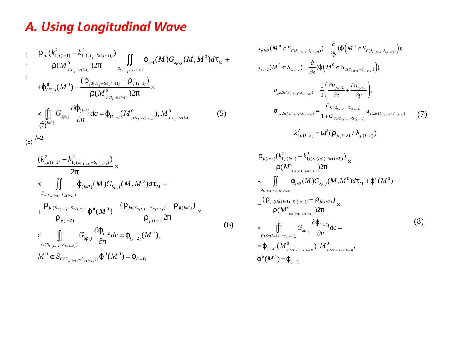### *A. Using Longitudinal Wave*

**A. Using Longitudinal Wave**  
\n
$$
\begin{array}{ll}\n\vdots & \frac{m_{jl}(k_{i,j(l-1)}^2 - k_{i,j(-k(l-1))}^2)}{m_{jl}(k_{j(l-1)}^2 - k_{i,j(-k(l-1))}^2)} \int_{S_{C_{l-j-2}(k(l-1))}}^{S_{l-j}(k(l-1))} \left( \int_{S_{R-j-2}(k(l-1))}^{S_{R-j}(\mu)} \left( \int_{S_{R-j-2}(k(l-1))}^{S_{R-j}(\mu)} \left( \int_{S_{R-j-2}(k(l-1))}^{S_{R-j}(\mu)} \right) \right) \right) \left( \int_{S_{C_{l-j}(\mu)}(k(l-1))}^{S_{R-j}(\mu)} \left( \int_{S_{l-j}(\mu)}^{S_{l-j}(\mu)} \left( \int_{S_{l-j}(\mu)}^{S_{l-j}(\mu)} \right) \right) \right) \left( \int_{S_{l-j}(\mu)}^{S_{l-j}(\mu)} \left( \int_{S_{l-j}(\mu)}^{S_{l-j}(\mu)} \left( \int_{S_{l-j}(\mu)}^{S_{l-j}(\mu)} \right) \right) \right) \left( \int_{S_{l-j}(\mu)}^{S_{l-j}(\mu)} \left( \int_{S_{l-j}(\mu)}^{S_{l-j}(\mu)} \left( \int_{S_{l-j}(\mu)}^{S_{l-j}(\mu)} \right) \right) \right) \left( \int_{S_{l-j}(\mu)}^{S_{l-j}(\mu)} \left( \int_{S_{l-j}(\mu)}^{S_{l-j}(\mu)} \left( \int_{S_{l-j}(\mu)}^{S_{l-j}(\mu)} \right) \right) \right) \left( \int_{S_{l-j}(\mu)}^{S_{l-j}(\mu)} \left( \int_{S_{l-j}(\mu)}^{S_{l-j}(\mu)} \left( \int_{S_{l-j}(\mu)}^{S_{l-j}(\mu)} \right) \right) \right) \left( \int_{S_{l-j}(\mu)}^{S_{l-j}(\mu)} \left( \int_{S_{l-j}(\mu)}^{S_{l-j}(\mu)} \left( \int_{S_{l-j}(\mu)}^{S_{l-j}(\mu)} \right) \right) \right) \left( \int_{S_{l-j}(\mu)}^{S_{l-j}(\mu)} \left( \int_{S_{l-j}(\mu)}^{S_{l-j}(\mu)} \left( \int_{S_{l-j}(\mu)}^{S_{l-j}(\mu)} \right) \
$$

$$
\text{(8)} \stackrel{\textit{f}=2;}{=}
$$

$$
\times \prod_{(\tilde{f})=1}^{N} G_{Sp_{\epsilon,j}} \frac{\partial^{(1)}(1)}{\partial n} dc = \left\{ (1-1) (M^0)_{(i-j-Sc(1=1))}, M^0 \right\} \times \prod_{j=1, j \in S_c}^{N} \frac{\left(k_{1j(i(1=2)}^2 - k_{1j(S_{C(i=1)} - S_{C(i=2)})}^2\right)}{2f} \times \prod_{j=1, j \in S_c}^{N} \left\{ (1-2) (M) G_{Sp,j}(M, M^0) d\mathbf{t}_M + \sum_{\substack{S_{C(S_{C(i=1)} - S_{C(i=2)})} \\ \vdots \\ S_{C(S_{C(i=1)} - S_{C(i=2)})}}}^{N} \left\{ (M^0) - \frac{\left(\cdots j_{\alpha(S_{C(i=1)} - S_{C(i=2)})} - \cdots j_{\alpha(S(i=2)})}{2f} \right) \times \prod_{j=1, j \in S_c}^{N} \frac{\left(\frac{\left(\cdots j_{\alpha(S(i=1)} - S_{C(i=2)})}{2} - \frac{\left(\cdots j_{\alpha(S(i=1)} - S_{C(i=2)})}{2} \right)\right)}{2f} \right\} \times \prod_{j=1, j \in N}^{N} G_{Sp,j} \frac{\partial^{2} (1-2)}{\partial n} dc = \left\{ (1-2) (M^0), \sum_{\substack{C(S_{C(i=1)} - S_{C(i=2)})} \\ \vdots \\ C(S_{C(i=1)} - S_{C(i=2)})}^{N} \left\{ (1-2) (M^0) \right\} \right\} \times \prod_{j=1, j \in N}^{N} G_{Sp,j} \frac{\partial^{2} (1-2)}{\partial n} dc = \left\{ (1-2) (M^0), \sum_{\substack{C(S_{C(i=1)} - S_{C(i=2)})}^{N} \left\{ (1-2) (M^0) \right\}}{N} \right\} \times \prod_{j=1, j \in N}^{N} G_{Sp,j} \frac{\partial^{2} (1-2)}{\partial n} dc = \left\{ (1-2) (M^0), \sum_{\substack{C(S_{C(i=1)} - S_{C(i=2)})}^{N} \left\{ (1-2) (M^0) \right\}}{N} \right\} \times \prod_{j=1, j \in N}^{N} G_{Sp,j} \frac{\partial^{2} (1-2)}
$$

 $S_C(l=1)^{-S}C(l=2)$ 

$$
\times \iint_{S_{c(s_{c(l=1)}-S_{c(l=2)})}} \{ \iint_{S_{c(s_{c(l=1)}-S_{c(l=2)})}} \{ (M)G_{s_{p,j}}(M,M^0)dt_M + \nbrace_{S_{c(s_{c(l=1)}-S_{c(l=2)})}} \times \frac{\nbrace_{S_{c(s_{c(l=1)}-S_{c(l=2)})}} \{ (M)G_{s_{p,j}}(M,M^0)dt_M + \nbrace_{S_{c(s_{c(l=1)}-S_{c(l=2)})}} \times \frac{\nbrace_{S_{c(s_{c(l=1)}-S_{c(l=2)})}} \cdots \iota_{j(l=2)} \}}{\nbrace_{S_{p,j}} \frac{\partial \{ (\iota_{j=2})d_{c} = \{ (\iota_{j=2}) (M^0), \nbrace_{C(s_{c(l=1)}-S_{c(l=2)})}} \times \nbrace_{S_{c(s_{c(l=1)}-S_{c(l=2)})}} \times \frac{\nbrace_{S_{c(s_{c(l=1)}-S_{c(l=2)})}} \cdots \iota_{j(l=2)} \}}{\nbrace_{S_{c(s_{c(l=1)}-S_{c(l=2)})}} \{ (M^0 \times S_{p,j} \times S_{p,j} \times S_{p,j} \times S_{p,j} \times S_{p,j} \times S_{p,j} \times \nbrace_{S_{p,j=1}} \cdots \iota_{j(l=2)} \times \nbrace_{S_{p,j=1}} \{ (M^0 \times S_{p,j} \times S_{p,j} \times S_{p,j} \times S_{p,j} \times S_{p,j} \times S_{p,j} \times S_{p,j} \times S_{p,j} \times S_{p,j} \times S_{p,j} \times S_{p,j} \times S_{p,j} \times S_{p,j} \times S_{p,j} \times S_{p,j} \times S_{p,j} \times S_{p,j} \times S_{p,j} \times S_{p,j} \times S_{p,j} \times S_{p,j} \times S_{p,j} \times S_{p,j} \times S_{p,j} \times S_{p,j} \times S_{p,j} \times S_{p,j} \times S_{p,j} \times S_{p,j} \times S_{p,j} \times S_{p,j} \times S_{p,j} \times S_{p,j} \times S_{p,j} \times S_{p,j} \times S_{p,j} \times S_{p,j} \times S_{p,j} \times S_{p,j} \times S_{p,j} \times S_{p,j} \times S_{p,j} \times S_{p,j} \times S_{p,j} \
$$

$$
\times \prod_{C(S_{C(l=1)}-S_{C(l=2)})} G_{Sp,j} \frac{C \mathfrak{t}_{l=2}}{\partial n} dC = \{ (l=2)} (M^0),
$$

$$
M^{0} \in S_{C(S_{C(l=1)}-S_{C(l=2)})}, \{ (M^{0}) = \{ (l=1) \}
$$

 *<sup>M</sup>* ( 1) ( 2) ( 1) ( 2) ( 1) ( 2) 0 0 , 2 ( ) ( ) 0 0 , 2 , 2 ( ) ( ) ( ); ( ) ( ) *C l C l C l C l C l C l y l C S S C S S z l C l C S S u M S M S y u M S M S z* ( 1) ( 2) ( 1) ( 2) ( 1) ( 2) ( 1) ( 2) ( 1) ( 2) , 2 , 2 , ( ) ( ) , ( ) , ( ) ( ) 1 , <sup>2</sup> 1 *C l C l C l C l C l C l C l C l C l C l y l z l yz Sc S S Sc S S yz Sc S S yz Sc S S Sc S S <sup>u</sup> <sup>u</sup> u z y E u* 2 2 1 ( 2) ( 2) ( 2) ( / ) *ji l ji l ji l k*  (7) 2 2 ( 2) 1 ( 2) 1 ( ( 1) ( 2)) 0 0 0 ( ) ( )2 ( ) ( , ) ( ) ( ) ( )2 *ji l ji l j Sc l Sc l l Sp j M k k M G M M d M*  

$$
k_{1ji(l=2)}^2 = \check{S}^2(\dots_{ji(l=2)}/\,)_{ji(l=2)})
$$

$$
u_{yz,Sc(S_{C(l=1)}-S_{C(l=2)})} = \frac{1}{2} \left( \frac{\partial u_{y,I=2}}{\partial z} + \frac{\partial u_{z,I=2}}{\partial y} \right),
$$
  
\n
$$
\dagger_{yz,Sc(S_{C(l=1)}-S_{C(l=2)})} = \frac{E_{Sc(S_{C(l=1)}-S_{C(l=2)})}}{1+\dagger_{Sc(S_{C(l=1)}-S_{C(l=2)})}} u_{yz,Sc(S_{C(l=1)}-S_{C(l=2)})}
$$
(7)  
\n
$$
k_{1ji(l=2)}^2 = \tilde{S}^2 \left( ..._{ji(l=2)} / \right)_{ji(l=2)} )
$$
  
\n
$$
\frac{w_{ji(l=2)}(k_{1ji(l=2)}^2 - k_{1j(S_{C(l=1)}-Sc(l=2))}^2)}{... (M_{j(S_{C(l=1)}-Sc(l=2))}^0 2f} \times
$$
  
\n
$$
\times \iint_{Sc_{C(S_{C(l=1)}-Sc(l=2))}} \left( \frac{1}{1-2} (M) G_{Sp,j}(M, M^0) d\mathbf{t}_M + \left\{ (0(M^0) - \frac{1}{2} (M) G_{SC(l=1)} - \frac{1}{2} (M) G_{Sp,j}(M, M^0) d\mathbf{t}_M + \left\{ (0(M^0) - \frac{1}{2} (M) G_{SC(l=1)} - \frac{1}{2} (M) G_{Sp,j}(M, M^0) d\mathbf{t}_M + \left\{ (0(M^0) - \frac{1}{2} (M) G_{SC(l=1)} - \frac{1}{2} (M) G_{Sp,j} \right\} d\mathbf{t}_m + \left\{ (0(M^0) - \frac{1}{2} (M) G_{SC(l=1)} - \frac{1}{2} (M) G_{Sp,j} \right\} d\mathbf{t}_m + \left\{ (0(M^0) - \frac{1}{2} (M) G_{SC(l=1)} - \frac{1}{2} (M) G_{Sp,j} \right\} d\mathbf{t}_m + \left\{ (0(M^0) - \frac{1}{2} (M) G_{SC(l=1)} - \frac{1}{2} (M) G_{Sp,j} \right\} d\mathbf{t}_m + \left\{ (0(M^0) - \frac{1}{2} (M) G_{SC(l=1)} - \frac{1}{2} (M) G_{Sp
$$

$$
(b(1-1) bc(1-2))
$$

(6)

$$
u_{yz,Sc(S_{c(i-1)}-S_{c(i-2)})} = \frac{1}{2} \left( \frac{\partial u_{y,l=2}}{\partial z} + \frac{\partial u_{z,l=2}}{\partial y} \right),
$$
  
\n
$$
t_{yz,Sc(S_{c(i-1)}-S_{c(i-2)})} = \frac{E_{sc(S_{c(i-1)}-S_{c(i-2)})}}{1 + t_{sc(S_{c(i-1)}-S_{c(i-2)})}} u_{yz,Sc(S_{c(i-1)}-S_{c(i-2)})}
$$
(7)  
\n
$$
k_{1ji(l=2)}^2 = \tilde{S}^2 \left( ...,_{ji(l=2)}/1 \right)_{ji(l=2)})
$$
  
\n
$$
..._{ji(l=2)} (k_{1ji(l=2)}^2 - k_{1j(Sc(l=1)-Sc(l=2))}^2) \times
$$
  
\n
$$
\times \iint_{...} \left( I_{l=2} (M) G_{Sp,j}(M, M^0) d\mathbf{t}_M + \left\{ (0(M^0) - \frac{(...,_{ja((Sc(l=1)-Sc(l=2))}-..._{ji(l=2)})}{(M_{j(Sc(l=1)-Sc(l=2))}-..._{ji(l=2)})} \right) \times
$$
  
\n
$$
... (M_{j(Sc(l=1)-Sc(l=2))}^2 - \frac{\partial}{\partial n} d c =
$$
  
\n
$$
= \left\{ (1-2) (M_{j(Sc(l=1)-Sc(l=2))}^0, M_{j(Sc(l=1)-Sc(l=2))}^0, M_{j(Sc(l=1)-Sc(l=2))}^0, M_{j(Sc(l=1)-Sc(l=2))}^0, M_{j(Sc(l=1)-Sc(l=2))}^0, M_{j(Sc(l=1)-Sc(l=2))}^0 \right\}
$$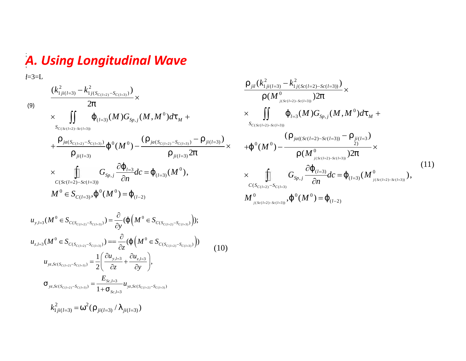#### *A. Using Longitudinal Wave* ; ;

 $u_{vz, Sc(S_{C(X, y)} - S_{C(X, y)})} = \frac{1}{2} \left[ \frac{v_{vz, z}}{2} + \frac{v_{vz, z}}{2} \right]$ 

 $-S_{C(l=3)}$   $-\frac{1}{2}$   $\frac{1}{2}$   $\frac{1}{2}$ 

;*l*=3=L

A. Using Longitudinal Wave  
\n
$$
\sum_{i=3-1}^{n} \frac{(k_{i,j(i+3)}^2 - k_{i,j(s_{i(i+3)}-s_{i(i+1)})}^2)}{2f} \times \frac{m_{ji}(k_{i,j(i+3)}^2 - k_{i,j(s_{i(i+3)}-s_{i(i+3)})}^2)}{m_{ji}(k_{i+3}^2 - k_{i,j(s_{i+3}+s_{i+3})}^2)} \times \frac{m_{ji}(k_{i,j(s_{i+3}+s_{i+3})}^2 - k_{i,j(s_{i+3}+s_{i+3})}^2)}{m_{ji}(k_{i+3}+s_{i+3})} \times \frac{1}{k_{i,j}(M)G_{s_{p,j}}(M,M^0)dt_M + \frac{1}{k_{i,j}(M)G_{s_{p,j}}(M,M^0)dt_M + \frac{1}{k_{i,j}(M)G_{s_{p,j}}(M,M^0)dt_M + \frac{1}{k_{i,j}(M)G_{s_{p,j}}(M,M^0)dt_M + \frac{1}{k_{i,j}(M)G_{s_{p,j}}(M,M^0)dt_M + \frac{1}{k_{i,j}(M)G_{s_{p,j}}(M,M^0)dt_M + \frac{1}{k_{i,j}(M)G_{s_{p,j}}(M,M^0)dt_M + \frac{1}{k_{i,j}(M)G_{s_{p,j}}(M,M^0)dt_M + \frac{1}{k_{i,j}(M)G_{s_{p,j}}(M,M^0)dt_M + \frac{1}{k_{i,j}(M)G_{s_{p,j}}(M,M^0)dt_M + \frac{1}{k_{i,j}(M)G_{s_{p,j}}(M,M^0)dt_M + \frac{1}{k_{i,j}(M)G_{s_{p,j}}(M,M^0)dt_M + \frac{1}{k_{i,j}(M)G_{s_{p,j}}(M,M^0)dt_M + \frac{1}{k_{i,j}(M)G_{s_{p,j}}(M,M^0)dt_M + \frac{1}{k_{i,j}(M)G_{s_{p,j}}(M,M^0)dt_M + \frac{1}{k_{i,j}(M)G_{s_{p,j}}(M,M^0)dt_M + \frac{1}{k_{i,j}(M)G_{s_{p,j}}(M,M^0)dt_M + \frac{1}{k_{i,j}(M)G_{s_{p,j}}(M,M^0)dt_M + \frac{1}{k_{i,j}(M)G_{s_{p,j}}(M,M^0)dt_M + \frac{1}{k_{i,j}(M)G_{s
$$

 $\frac{1}{2} \left( \frac{\partial u_{y,l=3}}{\partial z} + \frac{\partial u_{z,l=3}}{\partial y} \right),$ 

 $u_{v,l=3}$   $\partial u_{v,l=3}$ 

 $E_{S_c l=3}$ 

 $\left( \begin{aligned} &\frac{\partial u_{y,l=3}}{\partial z} + \frac{\partial u_{z,l=3}}{\partial y} \end{aligned} \right), \ &\frac{E_{sc,l=3}}{+ \frac{1}{1} \sum_{sc,l=3} u_{yz,Sc(S_{C(l=2)}-S_{C(l=3)})}}$ 

 $\int_{S_C}$   $\int_{S_C}$  =3

 $1+\frac{1}{s}$   $\sum_{l=3}^{s}$   $\sum_{l=3}^{s}$   $\sum_{l=3}^{s}$   $\sum_{l=3}^{s}$   $\sum_{l=3}^{s}$ 

 $=3$  .

 $\int_{V_z} \int_{S(z)} (S_{C(z)}, -S_{C(z)}) = \frac{Z_{S(z)}Z}{1 + Z_{Vz}} u_{Vz} S_{C}(S_{C(z)}, -S_{C(z)})$ 

$$
\frac{\cdots_{jil}(k_{1ji(l=3)}^{2} - k_{1j(Sc(l=2)-Sc(l=3))}^{2})}{\cdots (M_{j(Sc(l=2)-Sc(l=3))}^{0})} \times
$$
\n
$$
\times \iint_{S_{c(Sc(l=2)-Sc(l=3))}} {\left\{ \int_{l=3}^{l} (M) G_{Sp,j}(M, M^{0}) d\tau_{M} + S_{c(Sc(l=2)-Sc(l=3))} - \cdots \frac{j(l=3)}{2}} \right\}}
$$
\n
$$
+ {\left\{ \begin{array}{c} 0(M^{0}) - \frac{\left( \ldots \right)j_{d(Sc(l=2)-Sc(l=3))} - \cdots j_{l(l=3)}^{l(l=3)} \right)}{ \cdots (M^{0})} \right\}} \times
$$
\n
$$
\downarrow \qquad \qquad \frac{\partial}{\tau} \left\{ \left( \frac{l=3}{l=3} \right) \cdot 10 - \left( \frac{\partial}{\tau} \right)^{0} \right\}} \end{array}
$$
\n(11)

**IVC**  
\n
$$
\frac{m_{jil}(k_{1jil(-3)}^2 - k_{1j(Sc(l-2)-Sc(l-3))}^2)}{m(M_{0,Sc(l-2)-Sc(l-3))}^2} \times
$$
\n
$$
d_{M}^4 + \frac{\times \iint_{S_{c(s(l-2)-Sc(l-3))}} \left\{ l_{-3}(M)G_{Sp,j}(M,M^0)dl_{M} + s_{C_{c(s-3)-}} - \frac{\times}{j(l-3)} \right\}}{m_{(N-1)(3)}^2} \times \frac{m_{j(l-3)}^2}{m(M^0) - \frac{\left( \dots j_d((Sc(l-2)-Sc(l-3)) - \dots j_l(l-3)}{j(l-3)} \right)}{m(M^0) - \frac{\times}{j(l-3)} G_{Sp,j} \frac{\partial \left\{ l_{(l-3)}^2}{\partial n} dc = \left\{ l_{(l-3)}^2 (M_{j(Sc(l-2)-Sc(l-3))}^0 \right\} \right\}}{m_{j(Sc(l-2)-Sc(l-3))}^0}, \qquad (11)
$$
\n
$$
M_{j(Sc(l-2)-Sc(l-3))}^0, \{^0(M^0) = \left\{ l_{(l-2)}^0 \right\}
$$
\n
$$
m_{j(S_{c(l-2)-Sc(l-3))}^0}, \{^0(M^0) = \left\{ l_{(l-2)}^0 \right\}
$$
\n
$$
m_{j(S_{c(l-2)-Sc(l-3))}^0}, \{^0(M^0) = \left\{ l_{(l-2)}^0 \right\}
$$
\n
$$
m_{j(S_{c(l-2)-Sc(l-3))}^0}^0
$$
\n
$$
m_{j(S_{c(l-2)-Sc(l-3))}^0}^0
$$
\n
$$
m_{j(S_{c(l-2)-Sc(l-3))}^0}^0
$$
\n
$$
m_{j(S_{c(l-2)-Sc(l-3))}^0}^0
$$
\n
$$
m_{j(S_{c(l-2)-Sc(l-3))}^0}^0
$$
\n
$$
m_{j(S_{c(l-2)-Sc(l-3))}^0}^0
$$
\n
$$
m_{j(S_{c(l-2)-Sc(l-3))}^0}^0
$$
\n
$$
m_{j(S_{c(l-2)-Sc(l-3))}^0}^0
$$
\n<math display="block</b>

 $=\left\{ \frac{1}{(l-2)} \right\}$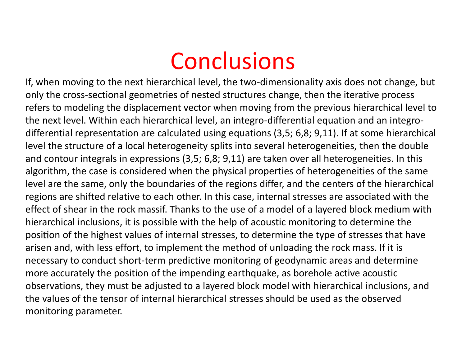## Conclusions

If, when moving to the next hierarchical level, the two-dimensionality axis does not change, but only the cross-sectional geometries of nested structures change, then the iterative process refers to modeling the displacement vector when moving from the previous hierarchical level to the next level. Within each hierarchical level, an integro-differential equation and an integro differential representation are calculated using equations (3,5; 6,8; 9,11). If at some hierarchical level the structure of a local heterogeneity splits into several heterogeneities, then the double and contour integrals in expressions (3,5; 6,8; 9,11) are taken over all heterogeneities. In this algorithm, the case is considered when the physical properties of heterogeneities of the same level are the same, only the boundaries of the regions differ, and the centers of the hierarchical regions are shifted relative to each other. In this case, internal stresses are associated with the effect of shear in the rock massif. Thanks to the use of a model of a layered block medium with hierarchical inclusions, it is possible with the help of acoustic monitoring to determine the position of the highest values of internal stresses, to determine the type of stresses that have arisen and, with less effort, to implement the method of unloading the rock mass. If it is necessary to conduct short-term predictive monitoring of geodynamic areas and determine more accurately the position of the impending earthquake, as borehole active acoustic observations, they must be adjusted to a layered block model with hierarchical inclusions, and the values of the tensor of internal hierarchical stresses should be used as the observed monitoring parameter.